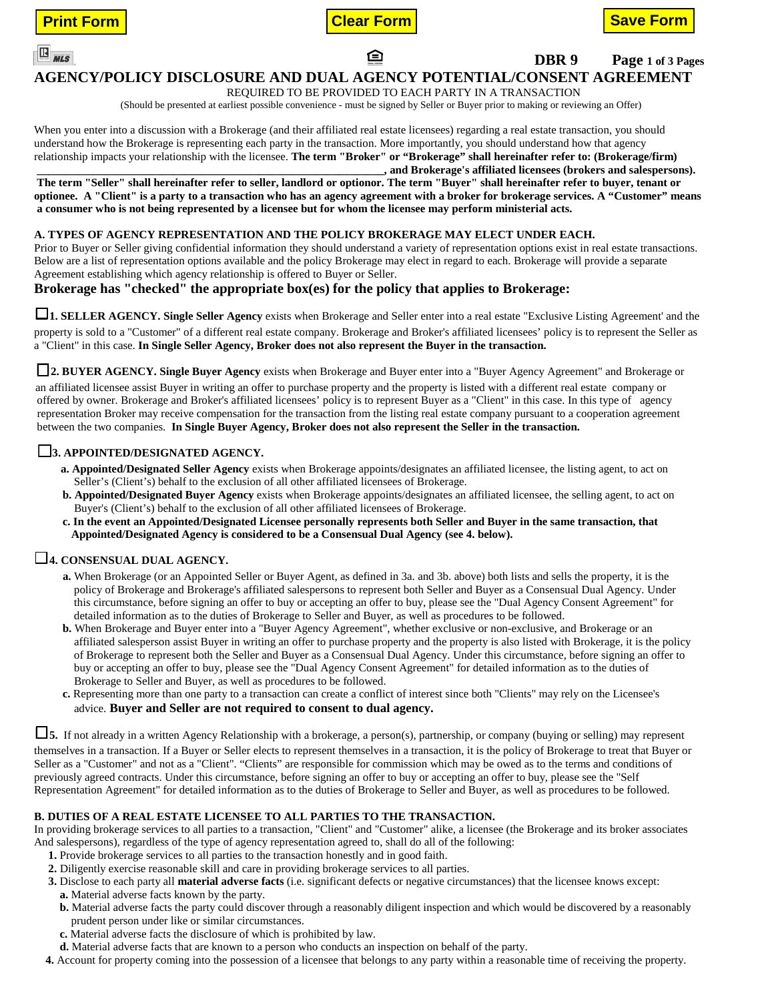



ি





 **DBR 9 Page 1 of 3 Pages**

# **AGENCY/POLICY DISCLOSURE AND DUAL AGENCY POTENTIAL/CONSENT AGREEMENT**

REQUIRED TO BE PROVIDED TO EACH PARTY IN A TRANSACTION

(Should be presented at earliest possible convenience - must be signed by Seller or Buyer prior to making or reviewing an Offer)

When you enter into a discussion with a Brokerage (and their affiliated real estate licensees) regarding a real estate transaction, you should understand how the Brokerage is representing each party in the transaction. More importantly, you should understand how that agency relationship impacts your relationship with the licensee. **The term "Broker" or "Brokerage" shall hereinafter refer to: (Brokerage/firm) \_\_\_\_\_\_\_\_\_\_\_\_\_\_\_\_\_\_\_\_\_\_\_\_\_\_\_\_\_\_\_\_\_\_\_\_\_\_\_\_\_\_\_\_\_\_\_\_\_\_\_\_\_\_\_\_\_\_\_\_\_, and Brokerage's affiliated licensees (brokers and salespersons).**

**The term "Seller" shall hereinafter refer to seller, landlord or optionor. The term "Buyer" shall hereinafter refer to buyer, tenant or optionee. A "Client" is a party to a transaction who has an agency agreement with a broker for brokerage services. A "Customer" means a consumer who is not being represented by a licensee but for whom the licensee may perform ministerial acts.**

### **A. TYPES OF AGENCY REPRESENTATION AND THE POLICY BROKERAGE MAY ELECT UNDER EACH.**

Prior to Buyer or Seller giving confidential information they should understand a variety of representation options exist in real estate transactions. Below are a list of representation options available and the policy Brokerage may elect in regard to each. Brokerage will provide a separate Agreement establishing which agency relationship is offered to Buyer or Seller.

### **Brokerage has "checked" the appropriate box(es) for the policy that applies to Brokerage:**

□**1. SELLER AGENCY. Single Seller Agency** exists when Brokerage and Seller enter into a real estate "Exclusive Listing Agreement' and the property is sold to a "Customer" of a different real estate company. Brokerage and Broker's affiliated licensees' policy is to represent the Seller as a "Client" in this case. **In Single Seller Agency, Broker does not also represent the Buyer in the transaction.**

□**2. BUYER AGENCY. Single Buyer Agency** exists when Brokerage and Buyer enter into a "Buyer Agency Agreement" and Brokerage or

an affiliated licensee assist Buyer in writing an offer to purchase property and the property is listed with a different real estate company or offered by owner. Brokerage and Broker's affiliated licensees' policy is to represent Buyer as a "Client" in this case. In this type of agency representation Broker may receive compensation for the transaction from the listing real estate company pursuant to a cooperation agreement between the two companies. **In Single Buyer Agency, Broker does not also represent the Seller in the transaction.**

### □**3. APPOINTED/DESIGNATED AGENCY.**

- **a. Appointed/Designated Seller Agency** exists when Brokerage appoints/designates an affiliated licensee, the listing agent, to act on Seller's (Client's) behalf to the exclusion of all other affiliated licensees of Brokerage.
- **b. Appointed/Designated Buyer Agency** exists when Brokerage appoints/designates an affiliated licensee, the selling agent, to act on Buyer's (Client's) behalf to the exclusion of all other affiliated licensees of Brokerage.
- **c. In the event an Appointed/Designated Licensee personally represents both Seller and Buyer in the same transaction, that Appointed/Designated Agency is considered to be a Consensual Dual Agency (see 4. below).**

## □**4. CONSENSUAL DUAL AGENCY.**

- **a.** When Brokerage (or an Appointed Seller or Buyer Agent, as defined in 3a. and 3b. above) both lists and sells the property, it is the policy of Brokerage and Brokerage's affiliated salespersons to represent both Seller and Buyer as a Consensual Dual Agency. Under this circumstance, before signing an offer to buy or accepting an offer to buy, please see the "Dual Agency Consent Agreement" for detailed information as to the duties of Brokerage to Seller and Buyer, as well as procedures to be followed.
- **b.** When Brokerage and Buyer enter into a "Buyer Agency Agreement", whether exclusive or non-exclusive, and Brokerage or an affiliated salesperson assist Buyer in writing an offer to purchase property and the property is also listed with Brokerage, it is the policy of Brokerage to represent both the Seller and Buyer as a Consensual Dual Agency. Under this circumstance, before signing an offer to buy or accepting an offer to buy, please see the "Dual Agency Consent Agreement" for detailed information as to the duties of Brokerage to Seller and Buyer, as well as procedures to be followed.
- **c.** Representing more than one party to a transaction can create a conflict of interest since both "Clients" may rely on the Licensee's advice. **Buyer and Seller are not required to consent to dual agency.**

**□5.** If not already in a written Agency Relationship with a brokerage, a person(s), partnership, or company (buying or selling) may represent themselves in a transaction. If a Buyer or Seller elects to represent themselves in a transaction, it is the policy of Brokerage to treat that Buyer or Seller as a "Customer" and not as a "Client". "Clients" are responsible for commission which may be owed as to the terms and conditions of previously agreed contracts. Under this circumstance, before signing an offer to buy or accepting an offer to buy, please see the "Self Representation Agreement" for detailed information as to the duties of Brokerage to Seller and Buyer, as well as procedures to be followed.

### **B. DUTIES OF A REAL ESTATE LICENSEE TO ALL PARTIES TO THE TRANSACTION.**

In providing brokerage services to all parties to a transaction, "Client" and "Customer" alike, a licensee (the Brokerage and its broker associates And salespersons), regardless of the type of agency representation agreed to, shall do all of the following:

- **1.** Provide brokerage services to all parties to the transaction honestly and in good faith.
- **2.** Diligently exercise reasonable skill and care in providing brokerage services to all parties.
- **3.** Disclose to each party all **material adverse facts** (i.e. significant defects or negative circumstances) that the licensee knows except:
	- **a.** Material adverse facts known by the party.
	- **b.** Material adverse facts the party could discover through a reasonably diligent inspection and which would be discovered by a reasonably prudent person under like or similar circumstances.
	- **c.** Material adverse facts the disclosure of which is prohibited by law.
- **d.** Material adverse facts that are known to a person who conducts an inspection on behalf of the party.
- **4.** Account for property coming into the possession of a licensee that belongs to any party within a reasonable time of receiving the property.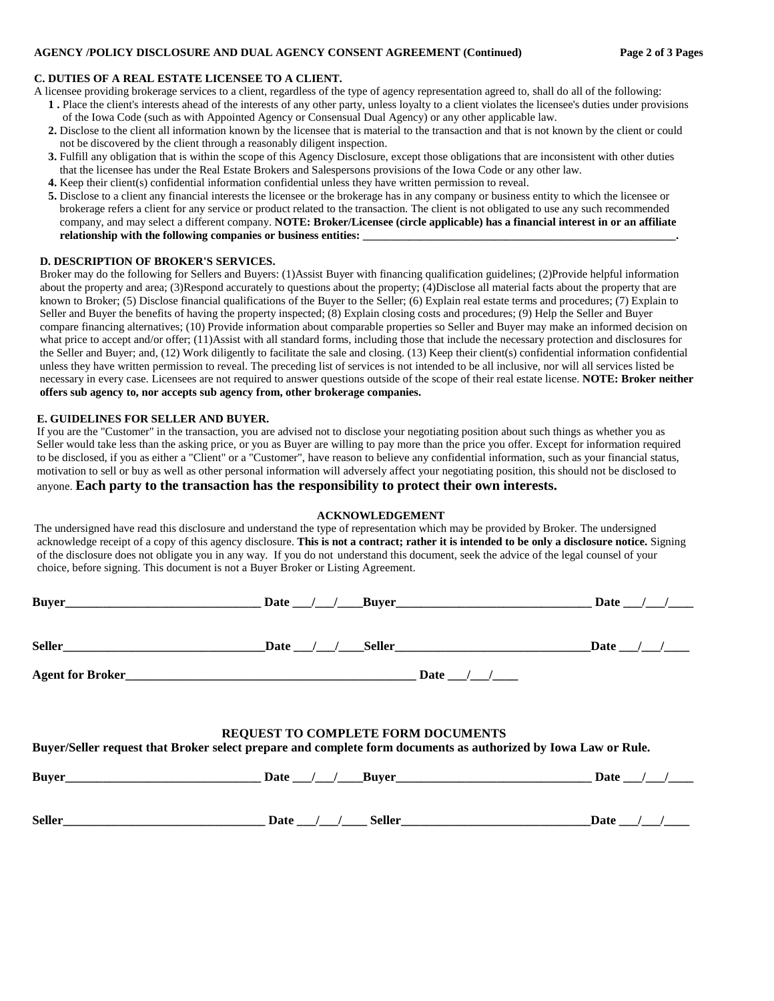#### **C. DUTIES OF A REAL ESTATE LICENSEE TO A CLIENT.**

A licensee providing brokerage services to a client, regardless of the type of agency representation agreed to, shall do all of the following:

- **1 .** Place the client's interests ahead of the interests of any other party, unless loyalty to a client violates the licensee's duties under provisions of the Iowa Code (such as with Appointed Agency or Consensual Dual Agency) or any other applicable law.
- **2.** Disclose to the client all information known by the licensee that is material to the transaction and that is not known by the client or could not be discovered by the client through a reasonably diligent inspection.
- **3.** Fulfill any obligation that is within the scope of this Agency Disclosure, except those obligations that are inconsistent with other duties that the licensee has under the Real Estate Brokers and Salespersons provisions of the Iowa Code or any other law.
- **4.** Keep their client(s) confidential information confidential unless they have written permission to reveal.
- **5.** Disclose to a client any financial interests the licensee or the brokerage has in any company or business entity to which the licensee or brokerage refers a client for any service or product related to the transaction. The client is not obligated to use any such recommended company, and may select a different company. **NOTE: Broker/Licensee (circle applicable) has a financial interest in or an affiliate relationship with the following companies or business entities: \_\_\_\_\_\_\_\_\_\_\_\_\_\_\_\_\_\_\_\_\_\_\_\_\_\_\_\_\_\_\_\_\_\_\_\_\_\_\_\_\_\_\_\_\_\_\_\_\_\_\_\_\_\_\_.**

#### **D. DESCRIPTION OF BROKER'S SERVICES.**

Broker may do the following for Sellers and Buyers: (1)Assist Buyer with financing qualification guidelines; (2)Provide helpful information about the property and area; (3)Respond accurately to questions about the property; (4)Disclose all material facts about the property that are known to Broker; (5) Disclose financial qualifications of the Buyer to the Seller; (6) Explain real estate terms and procedures; (7) Explain to Seller and Buyer the benefits of having the property inspected; (8) Explain closing costs and procedures; (9) Help the Seller and Buyer compare financing alternatives; (10) Provide information about comparable properties so Seller and Buyer may make an informed decision on what price to accept and/or offer; (11)Assist with all standard forms, including those that include the necessary protection and disclosures for the Seller and Buyer; and, (12) Work diligently to facilitate the sale and closing. (13) Keep their client(s) confidential information confidential unless they have written permission to reveal. The preceding list of services is not intended to be all inclusive, nor will all services listed be necessary in every case. Licensees are not required to answer questions outside of the scope of their real estate license. **NOTE: Broker neither offers sub agency to, nor accepts sub agency from, other brokerage companies.**

#### **E. GUIDELINES FOR SELLER AND BUYER.**

If you are the "Customer" in the transaction, you are advised not to disclose your negotiating position about such things as whether you as Seller would take less than the asking price, or you as Buyer are willing to pay more than the price you offer. Except for information required to be disclosed, if you as either a "Client" or a "Customer", have reason to believe any confidential information, such as your financial status, motivation to sell or buy as well as other personal information will adversely affect your negotiating position, this should not be disclosed to anyone. **Each party to the transaction has the responsibility to protect their own interests.**

#### **ACKNOWLEDGEMENT**

 The undersigned have read this disclosure and understand the type of representation which may be provided by Broker. The undersigned acknowledge receipt of a copy of this agency disclosure. **This is not a contract; rather it is intended to be only a disclosure notice.** Signing of the disclosure does not obligate you in any way. If you do not understand this document, seek the advice of the legal counsel of your choice, before signing. This document is not a Buyer Broker or Listing Agreement.

|                                                                                                                                                             | Seller Date / / Seller Seller Date / / Seller | Date $\frac{1}{\sqrt{2}}$ |  |  |  |  |  |  |
|-------------------------------------------------------------------------------------------------------------------------------------------------------------|-----------------------------------------------|---------------------------|--|--|--|--|--|--|
|                                                                                                                                                             |                                               |                           |  |  |  |  |  |  |
| <b>REQUEST TO COMPLETE FORM DOCUMENTS</b><br>Buyer/Seller request that Broker select prepare and complete form documents as authorized by Iowa Law or Rule. |                                               |                           |  |  |  |  |  |  |
|                                                                                                                                                             | Buyer Date / / Buyer Date / / Buyer Date / /  |                           |  |  |  |  |  |  |
| Seller                                                                                                                                                      | Date $/$ /                                    | Date /                    |  |  |  |  |  |  |